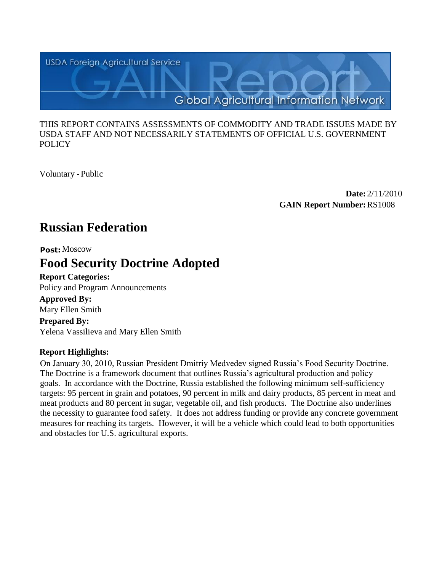

#### THIS REPORT CONTAINS ASSESSMENTS OF COMMODITY AND TRADE ISSUES MADE BY USDA STAFF AND NOT NECESSARILY STATEMENTS OF OFFICIAL U.S. GOVERNMENT **POLICY**

Voluntary -Public

**Date:** 2/11/2010 **GAIN Report Number:**RS1008

## **Russian Federation**

#### **Post:**Moscow

# **Food Security Doctrine Adopted**

**Report Categories:** Policy and Program Announcements **Approved By:** Mary Ellen Smith

**Prepared By:**  Yelena Vassilieva and Mary Ellen Smith

## **Report Highlights:**

On January 30, 2010, Russian President Dmitriy Medvedev signed Russia's Food Security Doctrine. The Doctrine is a framework document that outlines Russia's agricultural production and policy goals. In accordance with the Doctrine, Russia established the following minimum self-sufficiency targets: 95 percent in grain and potatoes, 90 percent in milk and dairy products, 85 percent in meat and meat products and 80 percent in sugar, vegetable oil, and fish products. The Doctrine also underlines the necessity to guarantee food safety. It does not address funding or provide any concrete government measures for reaching its targets. However, it will be a vehicle which could lead to both opportunities and obstacles for U.S. agricultural exports.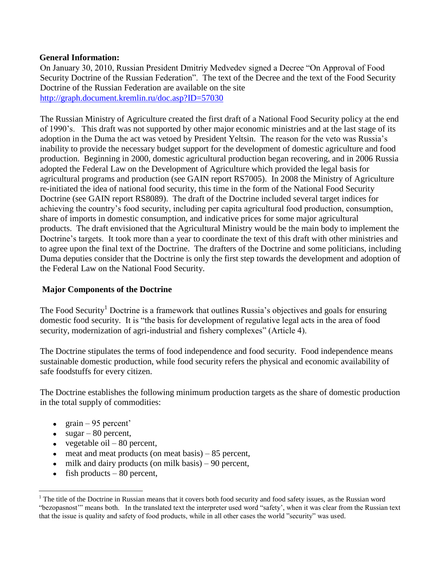### **General Information:**

On January 30, 2010, Russian President Dmitriy Medvedev signed a Decree "On Approval of Food Security Doctrine of the Russian Federation". The text of the Decree and the text of the Food Security Doctrine of the Russian Federation are available on the site <http://graph.document.kremlin.ru/doc.asp?ID=57030>

The Russian Ministry of Agriculture created the first draft of a National Food Security policy at the end of 1990's. This draft was not supported by other major economic ministries and at the last stage of its adoption in the Duma the act was vetoed by President Yeltsin. The reason for the veto was Russia's inability to provide the necessary budget support for the development of domestic agriculture and food production. Beginning in 2000, domestic agricultural production began recovering, and in 2006 Russia adopted the Federal Law on the Development of Agriculture which provided the legal basis for agricultural programs and production (see GAIN report RS7005). In 2008 the Ministry of Agriculture re-initiated the idea of national food security, this time in the form of the National Food Security Doctrine (see GAIN report RS8089). The draft of the Doctrine included several target indices for achieving the country's food security, including per capita agricultural food production, consumption, share of imports in domestic consumption, and indicative prices for some major agricultural products. The draft envisioned that the Agricultural Ministry would be the main body to implement the Doctrine's targets. It took more than a year to coordinate the text of this draft with other ministries and to agree upon the final text of the Doctrine. The drafters of the Doctrine and some politicians, including Duma deputies consider that the Doctrine is only the first step towards the development and adoption of the Federal Law on the National Food Security.

## **Major Components of the Doctrine**

The Food Security<sup>1</sup> Doctrine is a framework that outlines Russia's objectives and goals for ensuring domestic food security. It is "the basis for development of regulative legal acts in the area of food security, modernization of agri-industrial and fishery complexes" (Article 4).

The Doctrine stipulates the terms of food independence and food security. Food independence means sustainable domestic production, while food security refers the physical and economic availability of safe foodstuffs for every citizen.

The Doctrine establishes the following minimum production targets as the share of domestic production in the total supply of commodities:

- $grain 95$  percent'
- $\bullet$  sugar 80 percent,

 $\overline{a}$ 

- vegetable oil  $-80$  percent,
- $\bullet$  meat and meat products (on meat basis) 85 percent,
- $\bullet$  milk and dairy products (on milk basis) 90 percent,
- fish products 80 percent,  $\bullet$

 $1$  The title of the Doctrine in Russian means that it covers both food security and food safety issues, as the Russian word "bezopasnost'" means both. In the translated text the interpreter used word "safety', when it was clear from the Russian text that the issue is quality and safety of food products, while in all other cases the world "security" was used.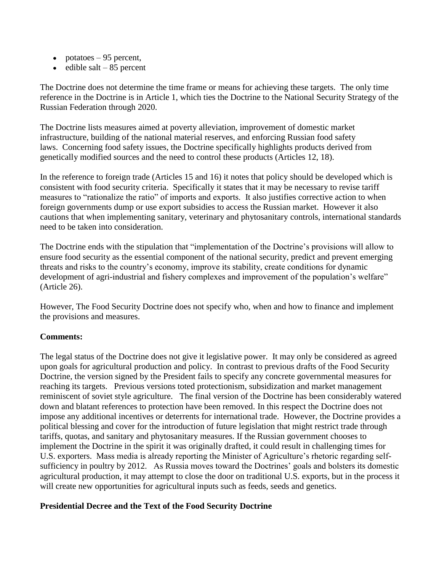- potatoes  $-95$  percent,
- $\bullet$  edible salt 85 percent

The Doctrine does not determine the time frame or means for achieving these targets. The only time reference in the Doctrine is in Article 1, which ties the Doctrine to the National Security Strategy of the Russian Federation through 2020.

The Doctrine lists measures aimed at poverty alleviation, improvement of domestic market infrastructure, building of the national material reserves, and enforcing Russian food safety laws. Concerning food safety issues, the Doctrine specifically highlights products derived from genetically modified sources and the need to control these products (Articles 12, 18).

In the reference to foreign trade (Articles 15 and 16) it notes that policy should be developed which is consistent with food security criteria. Specifically it states that it may be necessary to revise tariff measures to "rationalize the ratio" of imports and exports. It also justifies corrective action to when foreign governments dump or use export subsidies to access the Russian market. However it also cautions that when implementing sanitary, veterinary and phytosanitary controls, international standards need to be taken into consideration.

The Doctrine ends with the stipulation that "implementation of the Doctrine's provisions will allow to ensure food security as the essential component of the national security, predict and prevent emerging threats and risks to the country's economy, improve its stability, create conditions for dynamic development of agri-industrial and fishery complexes and improvement of the population's welfare" (Article 26).

However, The Food Security Doctrine does not specify who, when and how to finance and implement the provisions and measures.

## **Comments:**

The legal status of the Doctrine does not give it legislative power. It may only be considered as agreed upon goals for agricultural production and policy. In contrast to previous drafts of the Food Security Doctrine, the version signed by the President fails to specify any concrete governmental measures for reaching its targets. Previous versions toted protectionism, subsidization and market management reminiscent of soviet style agriculture. The final version of the Doctrine has been considerably watered down and blatant references to protection have been removed. In this respect the Doctrine does not impose any additional incentives or deterrents for international trade. However, the Doctrine provides a political blessing and cover for the introduction of future legislation that might restrict trade through tariffs, quotas, and sanitary and phytosanitary measures. If the Russian government chooses to implement the Doctrine in the spirit it was originally drafted, it could result in challenging times for U.S. exporters. Mass media is already reporting the Minister of Agriculture's rhetoric regarding selfsufficiency in poultry by 2012. As Russia moves toward the Doctrines' goals and bolsters its domestic agricultural production, it may attempt to close the door on traditional U.S. exports, but in the process it will create new opportunities for agricultural inputs such as feeds, seeds and genetics.

## **Presidential Decree and the Text of the Food Security Doctrine**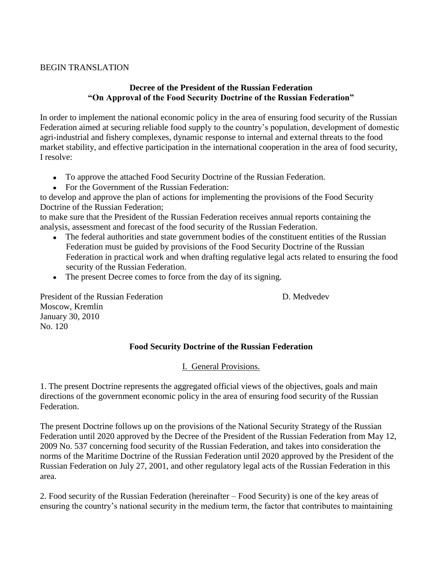#### BEGIN TRANSLATION

## **Decree of the President of the Russian Federation "On Approval of the Food Security Doctrine of the Russian Federation"**

In order to implement the national economic policy in the area of ensuring food security of the Russian Federation aimed at securing reliable food supply to the country's population, development of domestic agri-industrial and fishery complexes, dynamic response to internal and external threats to the food market stability, and effective participation in the international cooperation in the area of food security, I resolve:

- To approve the attached Food Security Doctrine of the Russian Federation.
- For the Government of the Russian Federation:

to develop and approve the plan of actions for implementing the provisions of the Food Security Doctrine of the Russian Federation;

to make sure that the President of the Russian Federation receives annual reports containing the analysis, assessment and forecast of the food security of the Russian Federation.

- The federal authorities and state government bodies of the constituent entities of the Russian  $\bullet$ Federation must be guided by provisions of the Food Security Doctrine of the Russian Federation in practical work and when drafting regulative legal acts related to ensuring the food security of the Russian Federation.
- The present Decree comes to force from the day of its signing.  $\bullet$

President of the Russian Federation **D.** Medvedev Moscow, Kremlin January 30, 2010 No. 120

## **Food Security Doctrine of the Russian Federation**

I. General Provisions.

1. The present Doctrine represents the aggregated official views of the objectives, goals and main directions of the government economic policy in the area of ensuring food security of the Russian Federation.

The present Doctrine follows up on the provisions of the National Security Strategy of the Russian Federation until 2020 approved by the Decree of the President of the Russian Federation from May 12, 2009 No. 537 concerning food security of the Russian Federation, and takes into consideration the norms of the Maritime Doctrine of the Russian Federation until 2020 approved by the President of the Russian Federation on July 27, 2001, and other regulatory legal acts of the Russian Federation in this area.

2. Food security of the Russian Federation (hereinafter – Food Security) is one of the key areas of ensuring the country's national security in the medium term, the factor that contributes to maintaining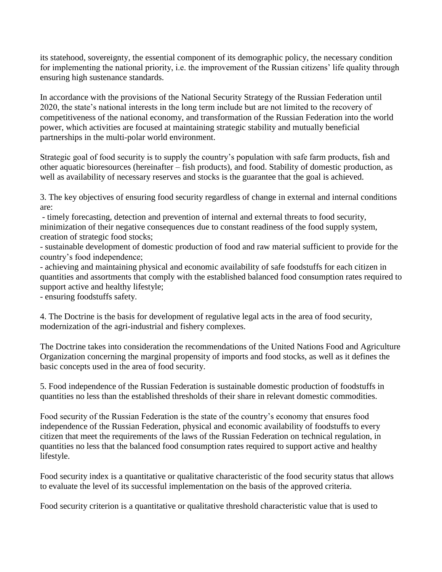its statehood, sovereignty, the essential component of its demographic policy, the necessary condition for implementing the national priority, i.e. the improvement of the Russian citizens' life quality through ensuring high sustenance standards.

In accordance with the provisions of the National Security Strategy of the Russian Federation until 2020, the state's national interests in the long term include but are not limited to the recovery of competitiveness of the national economy, and transformation of the Russian Federation into the world power, which activities are focused at maintaining strategic stability and mutually beneficial partnerships in the multi-polar world environment.

Strategic goal of food security is to supply the country's population with safe farm products, fish and other aquatic bioresources (hereinafter – fish products), and food. Stability of domestic production, as well as availability of necessary reserves and stocks is the guarantee that the goal is achieved.

3. The key objectives of ensuring food security regardless of change in external and internal conditions are:

- timely forecasting, detection and prevention of internal and external threats to food security, minimization of their negative consequences due to constant readiness of the food supply system, creation of strategic food stocks;

- sustainable development of domestic production of food and raw material sufficient to provide for the country's food independence;

- achieving and maintaining physical and economic availability of safe foodstuffs for each citizen in quantities and assortments that comply with the established balanced food consumption rates required to support active and healthy lifestyle;

- ensuring foodstuffs safety.

4. The Doctrine is the basis for development of regulative legal acts in the area of food security, modernization of the agri-industrial and fishery complexes.

The Doctrine takes into consideration the recommendations of the United Nations Food and Agriculture Organization concerning the marginal propensity of imports and food stocks, as well as it defines the basic concepts used in the area of food security.

5. Food independence of the Russian Federation is sustainable domestic production of foodstuffs in quantities no less than the established thresholds of their share in relevant domestic commodities.

Food security of the Russian Federation is the state of the country's economy that ensures food independence of the Russian Federation, physical and economic availability of foodstuffs to every citizen that meet the requirements of the laws of the Russian Federation on technical regulation, in quantities no less that the balanced food consumption rates required to support active and healthy lifestyle.

Food security index is a quantitative or qualitative characteristic of the food security status that allows to evaluate the level of its successful implementation on the basis of the approved criteria.

Food security criterion is a quantitative or qualitative threshold characteristic value that is used to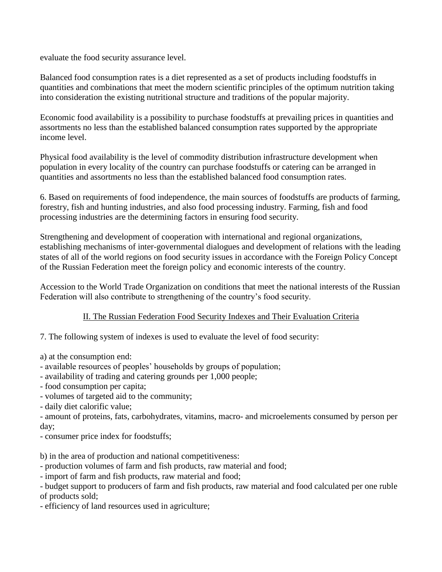evaluate the food security assurance level.

Balanced food consumption rates is a diet represented as a set of products including foodstuffs in quantities and combinations that meet the modern scientific principles of the optimum nutrition taking into consideration the existing nutritional structure and traditions of the popular majority.

Economic food availability is a possibility to purchase foodstuffs at prevailing prices in quantities and assortments no less than the established balanced consumption rates supported by the appropriate income level.

Physical food availability is the level of commodity distribution infrastructure development when population in every locality of the country can purchase foodstuffs or catering can be arranged in quantities and assortments no less than the established balanced food consumption rates.

6. Based on requirements of food independence, the main sources of foodstuffs are products of farming, forestry, fish and hunting industries, and also food processing industry. Farming, fish and food processing industries are the determining factors in ensuring food security.

Strengthening and development of cooperation with international and regional organizations, establishing mechanisms of inter-governmental dialogues and development of relations with the leading states of all of the world regions on food security issues in accordance with the Foreign Policy Concept of the Russian Federation meet the foreign policy and economic interests of the country.

Accession to the World Trade Organization on conditions that meet the national interests of the Russian Federation will also contribute to strengthening of the country's food security.

## II. The Russian Federation Food Security Indexes and Their Evaluation Criteria

7. The following system of indexes is used to evaluate the level of food security:

a) at the consumption end:

- available resources of peoples' households by groups of population;
- availability of trading and catering grounds per 1,000 people;
- food consumption per capita;
- volumes of targeted aid to the community;
- daily diet calorific value;
- amount of proteins, fats, carbohydrates, vitamins, macro- and microelements consumed by person per day;
- consumer price index for foodstuffs;

b) in the area of production and national competitiveness:

- production volumes of farm and fish products, raw material and food;

- import of farm and fish products, raw material and food;

- budget support to producers of farm and fish products, raw material and food calculated per one ruble of products sold;

- efficiency of land resources used in agriculture;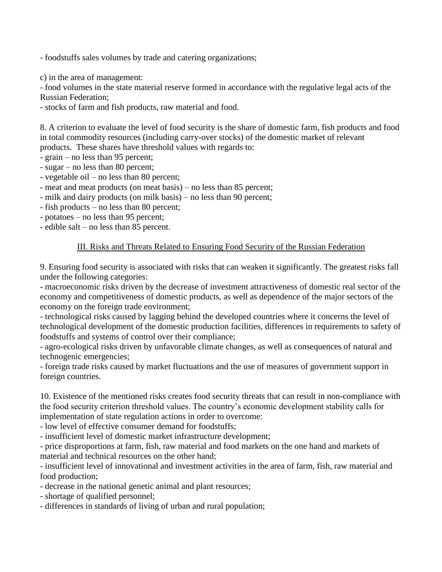- foodstuffs sales volumes by trade and catering organizations;

c) in the area of management:

- food volumes in the state material reserve formed in accordance with the regulative legal acts of the Russian Federation;

- stocks of farm and fish products, raw material and food.

8. A criterion to evaluate the level of food security is the share of domestic farm, fish products and food in total commodity resources (including carry-over stocks) of the domestic market of relevant products. These shares have threshold values with regards to:

- grain – no less than 95 percent;

- sugar – no less than 80 percent;

- vegetable oil no less than 80 percent;
- meat and meat products (on meat basis) no less than 85 percent;
- milk and dairy products (on milk basis) no less than 90 percent;
- fish products no less than 80 percent;
- potatoes no less than 95 percent;

- edible salt – no less than 85 percent.

#### III. Risks and Threats Related to Ensuring Food Security of the Russian Federation

9. Ensuring food security is associated with risks that can weaken it significantly. The greatest risks fall under the following categories:

- macroeconomic risks driven by the decrease of investment attractiveness of domestic real sector of the economy and competitiveness of domestic products, as well as dependence of the major sectors of the economy on the foreign trade environment;

- technological risks caused by lagging behind the developed countries where it concerns the level of technological development of the domestic production facilities, differences in requirements to safety of foodstuffs and systems of control over their compliance;

- agro-ecological risks driven by unfavorable climate changes, as well as consequences of natural and technogenic emergencies;

- foreign trade risks caused by market fluctuations and the use of measures of government support in foreign countries.

10. Existence of the mentioned risks creates food security threats that can result in non-compliance with the food security criterion threshold values. The country's economic development stability calls for implementation of state regulation actions in order to overcome:

- low level of effective consumer demand for foodstuffs;

- insufficient level of domestic market infrastructure development;

- price disproportions at farm, fish, raw material and food markets on the one hand and markets of material and technical resources on the other hand;

- insufficient level of innovational and investment activities in the area of farm, fish, raw material and food production;

- decrease in the national genetic animal and plant resources;

- shortage of qualified personnel;
- differences in standards of living of urban and rural population;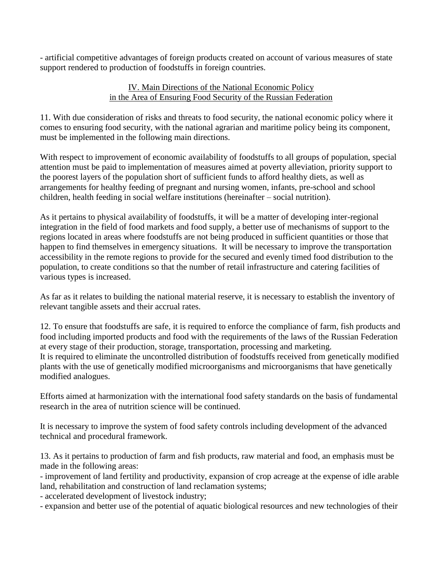- artificial competitive advantages of foreign products created on account of various measures of state support rendered to production of foodstuffs in foreign countries.

## IV. Main Directions of the National Economic Policy in the Area of Ensuring Food Security of the Russian Federation

11. With due consideration of risks and threats to food security, the national economic policy where it comes to ensuring food security, with the national agrarian and maritime policy being its component, must be implemented in the following main directions.

With respect to improvement of economic availability of foodstuffs to all groups of population, special attention must be paid to implementation of measures aimed at poverty alleviation, priority support to the poorest layers of the population short of sufficient funds to afford healthy diets, as well as arrangements for healthy feeding of pregnant and nursing women, infants, pre-school and school children, health feeding in social welfare institutions (hereinafter – social nutrition).

As it pertains to physical availability of foodstuffs, it will be a matter of developing inter-regional integration in the field of food markets and food supply, a better use of mechanisms of support to the regions located in areas where foodstuffs are not being produced in sufficient quantities or those that happen to find themselves in emergency situations. It will be necessary to improve the transportation accessibility in the remote regions to provide for the secured and evenly timed food distribution to the population, to create conditions so that the number of retail infrastructure and catering facilities of various types is increased.

As far as it relates to building the national material reserve, it is necessary to establish the inventory of relevant tangible assets and their accrual rates.

12. To ensure that foodstuffs are safe, it is required to enforce the compliance of farm, fish products and food including imported products and food with the requirements of the laws of the Russian Federation at every stage of their production, storage, transportation, processing and marketing. It is required to eliminate the uncontrolled distribution of foodstuffs received from genetically modified plants with the use of genetically modified microorganisms and microorganisms that have genetically modified analogues.

Efforts aimed at harmonization with the international food safety standards on the basis of fundamental research in the area of nutrition science will be continued.

It is necessary to improve the system of food safety controls including development of the advanced technical and procedural framework.

13. As it pertains to production of farm and fish products, raw material and food, an emphasis must be made in the following areas:

- improvement of land fertility and productivity, expansion of crop acreage at the expense of idle arable land, rehabilitation and construction of land reclamation systems;

- accelerated development of livestock industry;

- expansion and better use of the potential of aquatic biological resources and new technologies of their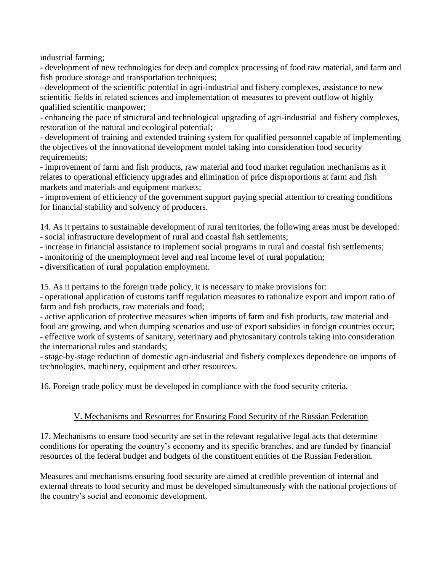industrial farming;

- development of new technologies for deep and complex processing of food raw material, and farm and fish produce storage and transportation techniques;

- development of the scientific potential in agri-industrial and fishery complexes, assistance to new scientific fields in related sciences and implementation of measures to prevent outflow of highly qualified scientific manpower;

- enhancing the pace of structural and technological upgrading of agri-industrial and fishery complexes, restoration of the natural and ecological potential;

- development of training and extended training system for qualified personnel capable of implementing the objectives of the innovational development model taking into consideration food security requirements;

- improvement of farm and fish products, raw material and food market regulation mechanisms as it relates to operational efficiency upgrades and elimination of price disproportions at farm and fish markets and materials and equipment markets;

- improvement of efficiency of the government support paying special attention to creating conditions for financial stability and solvency of producers.

14. As it pertains to sustainable development of rural territories, the following areas must be developed: - social infrastructure development of rural and coastal fish settlements;

- increase in financial assistance to implement social programs in rural and coastal fish settlements;

- monitoring of the unemployment level and real income level of rural population;

- diversification of rural population employment.

15. As it pertains to the foreign trade policy, it is necessary to make provisions for:

- operational application of customs tariff regulation measures to rationalize export and import ratio of farm and fish products, raw materials and food;

- active application of protective measures when imports of farm and fish products, raw material and food are growing, and when dumping scenarios and use of export subsidies in foreign countries occur; - effective work of systems of sanitary, veterinary and phytosanitary controls taking into consideration the international rules and standards;

- stage-by-stage reduction of domestic agri-industrial and fishery complexes dependence on imports of technologies, machinery, equipment and other resources.

16. Foreign trade policy must be developed in compliance with the food security criteria.

## V. Mechanisms and Resources for Ensuring Food Security of the Russian Federation

17. Mechanisms to ensure food security are set in the relevant regulative legal acts that determine conditions for operating the country's economy and its specific branches, and are funded by financial resources of the federal budget and budgets of the constituent entities of the Russian Federation.

Measures and mechanisms ensuring food security are aimed at credible prevention of internal and external threats to food security and must be developed simultaneously with the national projections of the country's social and economic development.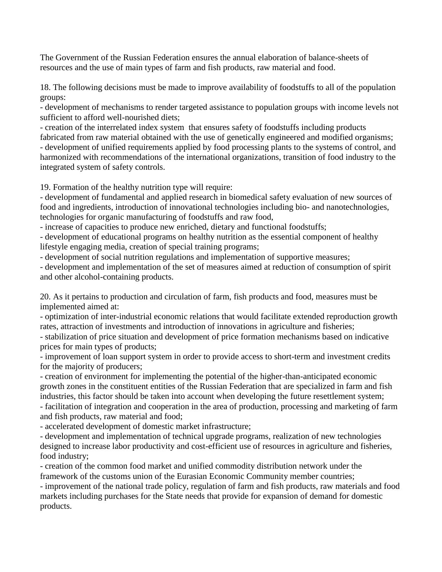The Government of the Russian Federation ensures the annual elaboration of balance-sheets of resources and the use of main types of farm and fish products, raw material and food.

18. The following decisions must be made to improve availability of foodstuffs to all of the population groups:

- development of mechanisms to render targeted assistance to population groups with income levels not sufficient to afford well-nourished diets;

- creation of the interrelated index system that ensures safety of foodstuffs including products fabricated from raw material obtained with the use of genetically engineered and modified organisms; - development of unified requirements applied by food processing plants to the systems of control, and harmonized with recommendations of the international organizations, transition of food industry to the integrated system of safety controls.

19. Formation of the healthy nutrition type will require:

- development of fundamental and applied research in biomedical safety evaluation of new sources of food and ingredients, introduction of innovational technologies including bio- and nanotechnologies, technologies for organic manufacturing of foodstuffs and raw food,

- increase of capacities to produce new enriched, dietary and functional foodstuffs;

- development of educational programs on healthy nutrition as the essential component of healthy lifestyle engaging media, creation of special training programs;

- development of social nutrition regulations and implementation of supportive measures;

- development and implementation of the set of measures aimed at reduction of consumption of spirit and other alcohol-containing products.

20. As it pertains to production and circulation of farm, fish products and food, measures must be implemented aimed at:

- optimization of inter-industrial economic relations that would facilitate extended reproduction growth rates, attraction of investments and introduction of innovations in agriculture and fisheries;

- stabilization of price situation and development of price formation mechanisms based on indicative prices for main types of products;

- improvement of loan support system in order to provide access to short-term and investment credits for the majority of producers;

- creation of environment for implementing the potential of the higher-than-anticipated economic growth zones in the constituent entities of the Russian Federation that are specialized in farm and fish industries, this factor should be taken into account when developing the future resettlement system; - facilitation of integration and cooperation in the area of production, processing and marketing of farm

and fish products, raw material and food;

- accelerated development of domestic market infrastructure;

- development and implementation of technical upgrade programs, realization of new technologies designed to increase labor productivity and cost-efficient use of resources in agriculture and fisheries, food industry;

- creation of the common food market and unified commodity distribution network under the framework of the customs union of the Eurasian Economic Community member countries;

- improvement of the national trade policy, regulation of farm and fish products, raw materials and food markets including purchases for the State needs that provide for expansion of demand for domestic products.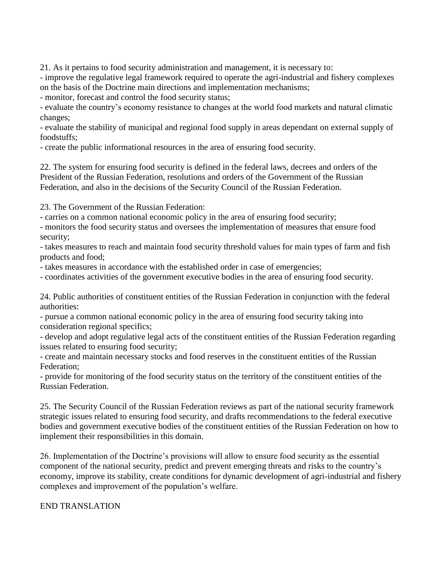21. As it pertains to food security administration and management, it is necessary to:

- improve the regulative legal framework required to operate the agri-industrial and fishery complexes on the basis of the Doctrine main directions and implementation mechanisms;

- monitor, forecast and control the food security status;

- evaluate the country's economy resistance to changes at the world food markets and natural climatic changes;

- evaluate the stability of municipal and regional food supply in areas dependant on external supply of foodstuffs;

- create the public informational resources in the area of ensuring food security.

22. The system for ensuring food security is defined in the federal laws, decrees and orders of the President of the Russian Federation, resolutions and orders of the Government of the Russian Federation, and also in the decisions of the Security Council of the Russian Federation.

23. The Government of the Russian Federation:

- carries on a common national economic policy in the area of ensuring food security;

- monitors the food security status and oversees the implementation of measures that ensure food security;

- takes measures to reach and maintain food security threshold values for main types of farm and fish products and food;

- takes measures in accordance with the established order in case of emergencies;

- coordinates activities of the government executive bodies in the area of ensuring food security.

24. Public authorities of constituent entities of the Russian Federation in conjunction with the federal authorities:

- pursue a common national economic policy in the area of ensuring food security taking into consideration regional specifics;

- develop and adopt regulative legal acts of the constituent entities of the Russian Federation regarding issues related to ensuring food security;

- create and maintain necessary stocks and food reserves in the constituent entities of the Russian Federation;

- provide for monitoring of the food security status on the territory of the constituent entities of the Russian Federation.

25. The Security Council of the Russian Federation reviews as part of the national security framework strategic issues related to ensuring food security, and drafts recommendations to the federal executive bodies and government executive bodies of the constituent entities of the Russian Federation on how to implement their responsibilities in this domain.

26. Implementation of the Doctrine's provisions will allow to ensure food security as the essential component of the national security, predict and prevent emerging threats and risks to the country's economy, improve its stability, create conditions for dynamic development of agri-industrial and fishery complexes and improvement of the population's welfare.

## END TRANSLATION